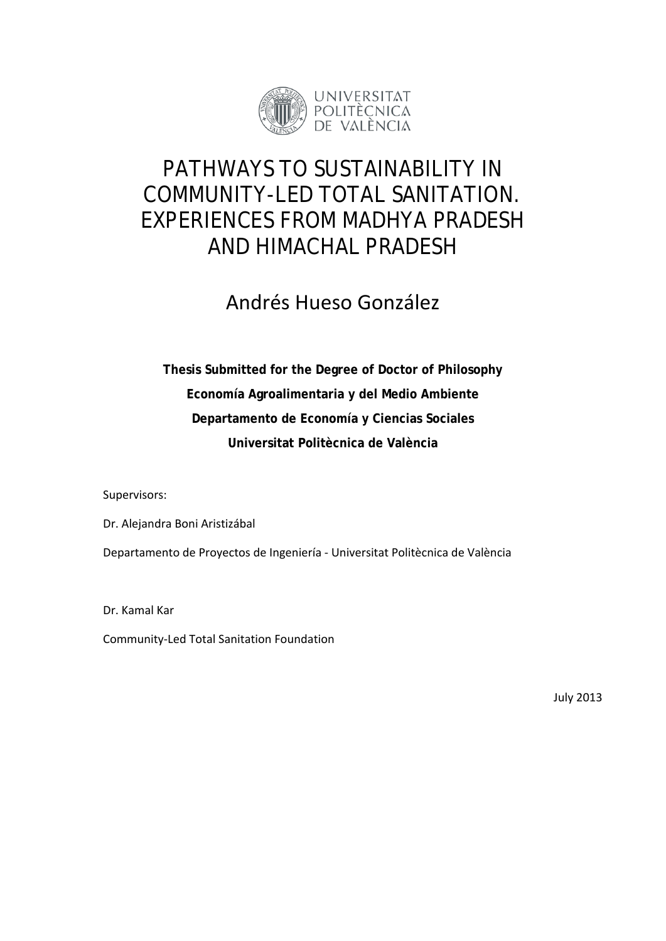

## PATHWAYS TO SUSTAINABILITY IN COMMUNITY-LED TOTAL SANITATION. EXPERIENCES FROM MADHYA PRADESH AND HIMACHAL PRADESH

## Andrés Hueso González

**Thesis Submitted for the Degree of Doctor of Philosophy Economía Agroalimentaria y del Medio Ambiente Departamento de Economía y Ciencias Sociales Universitat Politècnica de València**

Supervisors:

Dr. Alejandra Boni Aristizábal Departamento de Proyectos de Ingeniería - Universitat Politècnica de València

Dr. Kamal Kar

Community-Led Total Sanitation Foundation

July 2013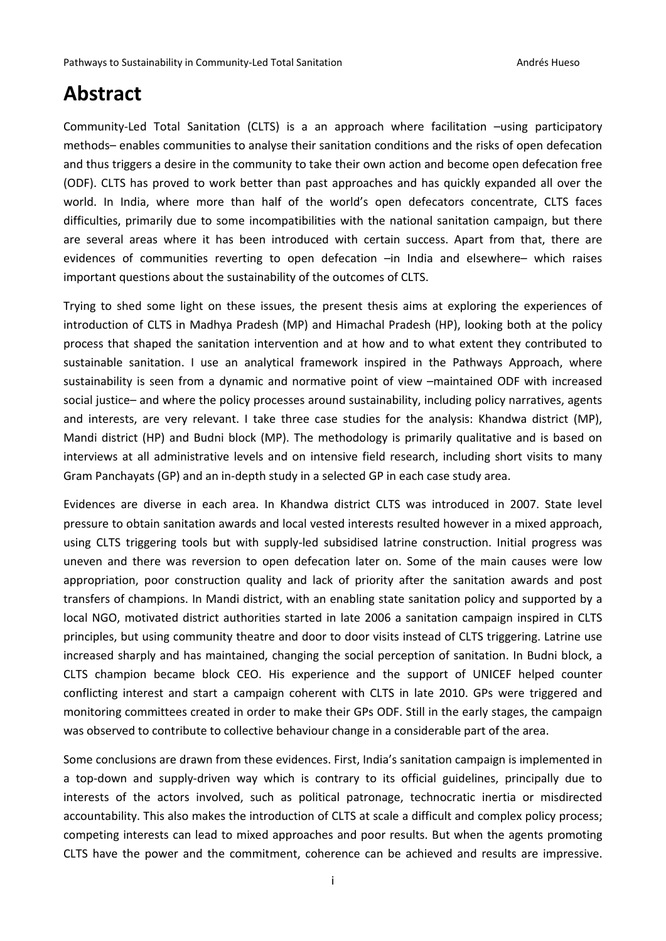## **Abstract**

Community-Led Total Sanitation (CLTS) is a an approach where facilitation –using participatory methods– enables communities to analyse their sanitation conditions and the risks of open defecation and thus triggers a desire in the community to take their own action and become open defecation free (ODF). CLTS has proved to work better than past approaches and has quickly expanded all over the world. In India, where more than half of the world's open defecators concentrate, CLTS faces difficulties, primarily due to some incompatibilities with the national sanitation campaign, but there are several areas where it has been introduced with certain success. Apart from that, there are evidences of communities reverting to open defecation –in India and elsewhere– which raises important questions about the sustainability of the outcomes of CLTS.

Trying to shed some light on these issues, the present thesis aims at exploring the experiences of introduction of CLTS in Madhya Pradesh (MP) and Himachal Pradesh (HP), looking both at the policy process that shaped the sanitation intervention and at how and to what extent they contributed to sustainable sanitation. I use an analytical framework inspired in the Pathways Approach, where sustainability is seen from a dynamic and normative point of view –maintained ODF with increased social justice– and where the policy processes around sustainability, including policy narratives, agents and interests, are very relevant. I take three case studies for the analysis: Khandwa district (MP), Mandi district (HP) and Budni block (MP). The methodology is primarily qualitative and is based on interviews at all administrative levels and on intensive field research, including short visits to many Gram Panchayats (GP) and an in-depth study in a selected GP in each case study area.

Evidences are diverse in each area. In Khandwa district CLTS was introduced in 2007. State level pressure to obtain sanitation awards and local vested interests resulted however in a mixed approach, using CLTS triggering tools but with supply-led subsidised latrine construction. Initial progress was uneven and there was reversion to open defecation later on. Some of the main causes were low appropriation, poor construction quality and lack of priority after the sanitation awards and post transfers of champions. In Mandi district, with an enabling state sanitation policy and supported by a local NGO, motivated district authorities started in late 2006 a sanitation campaign inspired in CLTS principles, but using community theatre and door to door visits instead of CLTS triggering. Latrine use increased sharply and has maintained, changing the social perception of sanitation. In Budni block, a CLTS champion became block CEO. His experience and the support of UNICEF helped counter conflicting interest and start a campaign coherent with CLTS in late 2010. GPs were triggered and monitoring committees created in order to make their GPs ODF. Still in the early stages, the campaign was observed to contribute to collective behaviour change in a considerable part of the area.

Some conclusions are drawn from these evidences. First, India's sanitation campaign is implemented in a top-down and supply-driven way which is contrary to its official guidelines, principally due to interests of the actors involved, such as political patronage, technocratic inertia or misdirected accountability. This also makes the introduction of CLTS at scale a difficult and complex policy process; competing interests can lead to mixed approaches and poor results. But when the agents promoting CLTS have the power and the commitment, coherence can be achieved and results are impressive.